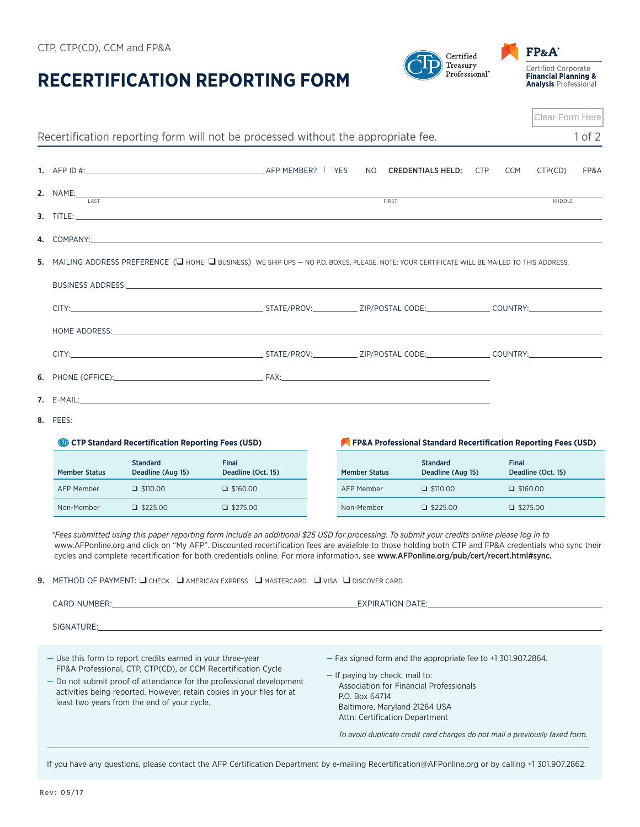| $C_{11}$ , $C_{11}$ ( $C_{11}$ ), $C_{11}$ and $T_{11}$ and |  |  |  |
|-------------------------------------------------------------|--|--|--|
|                                                             |  |  |  |
| DECEDTIEICATION DE                                          |  |  |  |

## **RECERTIFICATION REPORTING FORM**

|                            |                                                                                                                                                                             | Recertification reporting form will not be processed without the appropriate fee.                                                                                                                                                                                                                                                                                                                                                                |  |                                                  |              |                                                                                                                                          |     |                 |                    | $1$ of $2$ |
|----------------------------|-----------------------------------------------------------------------------------------------------------------------------------------------------------------------------|--------------------------------------------------------------------------------------------------------------------------------------------------------------------------------------------------------------------------------------------------------------------------------------------------------------------------------------------------------------------------------------------------------------------------------------------------|--|--------------------------------------------------|--------------|------------------------------------------------------------------------------------------------------------------------------------------|-----|-----------------|--------------------|------------|
|                            |                                                                                                                                                                             |                                                                                                                                                                                                                                                                                                                                                                                                                                                  |  | NO.                                              |              | <b>CREDENTIALS HELD:</b>                                                                                                                 | CTP | <b>CCM</b>      | CTP(CD)            | FP&A       |
| 2. NAME:___<br><b>LAST</b> |                                                                                                                                                                             | <u> 1989 - Johann Stoff, amerikansk politiker (* 1908)</u>                                                                                                                                                                                                                                                                                                                                                                                       |  |                                                  | <b>FIRST</b> |                                                                                                                                          |     |                 | <b>MIDDLE</b>      |            |
|                            |                                                                                                                                                                             |                                                                                                                                                                                                                                                                                                                                                                                                                                                  |  |                                                  |              |                                                                                                                                          |     |                 |                    |            |
|                            |                                                                                                                                                                             |                                                                                                                                                                                                                                                                                                                                                                                                                                                  |  |                                                  |              |                                                                                                                                          |     |                 |                    |            |
|                            |                                                                                                                                                                             | 5. MAILING ADDRESS PREFERENCE ( $\Box$ home $\Box$ business) we ship ups – no p.o. boxes, please. Note: your certificate will be mailed to this address.                                                                                                                                                                                                                                                                                         |  |                                                  |              |                                                                                                                                          |     |                 |                    |            |
|                            |                                                                                                                                                                             | BUSINESS ADDRESS: New York of the Contract of the Contract of the Contract of the Contract of the Contract of the Contract of the Contract of the Contract of the Contract of the Contract of the Contract of the Contract of                                                                                                                                                                                                                    |  |                                                  |              |                                                                                                                                          |     |                 |                    |            |
|                            |                                                                                                                                                                             |                                                                                                                                                                                                                                                                                                                                                                                                                                                  |  |                                                  |              |                                                                                                                                          |     |                 |                    |            |
|                            |                                                                                                                                                                             |                                                                                                                                                                                                                                                                                                                                                                                                                                                  |  |                                                  |              |                                                                                                                                          |     |                 |                    |            |
|                            |                                                                                                                                                                             |                                                                                                                                                                                                                                                                                                                                                                                                                                                  |  |                                                  |              |                                                                                                                                          |     |                 |                    |            |
|                            |                                                                                                                                                                             |                                                                                                                                                                                                                                                                                                                                                                                                                                                  |  |                                                  |              |                                                                                                                                          |     |                 |                    |            |
|                            |                                                                                                                                                                             |                                                                                                                                                                                                                                                                                                                                                                                                                                                  |  |                                                  |              |                                                                                                                                          |     |                 |                    |            |
|                            |                                                                                                                                                                             |                                                                                                                                                                                                                                                                                                                                                                                                                                                  |  |                                                  |              |                                                                                                                                          |     |                 |                    |            |
| 8. FEES:                   |                                                                                                                                                                             |                                                                                                                                                                                                                                                                                                                                                                                                                                                  |  |                                                  |              |                                                                                                                                          |     |                 |                    |            |
|                            | CTP Standard Recertification Reporting Fees (USD)                                                                                                                           |                                                                                                                                                                                                                                                                                                                                                                                                                                                  |  |                                                  |              | FP&A Professional Standard Recertification Reporting Fees (USD)                                                                          |     |                 |                    |            |
| <b>Member Status</b>       | <b>Standard</b><br>Deadline (Aug 15)                                                                                                                                        | <b>Final</b><br>Deadline (Oct. 15)                                                                                                                                                                                                                                                                                                                                                                                                               |  | <b>Member Status</b>                             |              | <b>Standard</b><br>Deadline (Aug 15)                                                                                                     |     | Final           | Deadline (Oct. 15) |            |
| <b>AFP Member</b>          | $\Box$ \$110.00                                                                                                                                                             | $\Box$ \$160.00                                                                                                                                                                                                                                                                                                                                                                                                                                  |  | AFP Member                                       |              | $\Box$ \$110.00                                                                                                                          |     | $\Box$ \$160.00 |                    |            |
| Non-Member                 | $\Box$ \$225.00                                                                                                                                                             | $\Box$ \$275.00                                                                                                                                                                                                                                                                                                                                                                                                                                  |  | Non-Member                                       |              | $\Box$ \$225.00                                                                                                                          |     | $\Box$ \$275.00 |                    |            |
|                            |                                                                                                                                                                             | *Fees submitted using this paper reporting form include an additional \$25 USD for processing. To submit your credits online please log in to<br>www.AFPonline.org and click on "My AFP". Discounted recertification fees are avaialble to those holding both CTP and FP&A credentials who sync their<br>cycles and complete recertification for both credentials online. For more information, see www.AFPonline.org/pub/cert/recert.html#sync. |  |                                                  |              |                                                                                                                                          |     |                 |                    |            |
|                            |                                                                                                                                                                             | <b>9.</b> METHOD OF PAYMENT: $\square$ check $\;\square$ american express $\;\square$ mastercard $\;\square$ visa $\;\square$ discover card                                                                                                                                                                                                                                                                                                      |  |                                                  |              |                                                                                                                                          |     |                 |                    |            |
|                            |                                                                                                                                                                             | <b>EXPIRATION DATE:</b>                                                                                                                                                                                                                                                                                                                                                                                                                          |  |                                                  |              |                                                                                                                                          |     |                 |                    |            |
|                            |                                                                                                                                                                             |                                                                                                                                                                                                                                                                                                                                                                                                                                                  |  |                                                  |              |                                                                                                                                          |     |                 |                    |            |
|                            | - Use this form to report credits earned in your three-year<br>FP&A Professional, CTP, CTP(CD), or CCM Recertification Cycle<br>least two years from the end of your cycle. | - Do not submit proof of attendance for the professional development<br>activities being reported. However, retain copies in your files for at                                                                                                                                                                                                                                                                                                   |  | - If paying by check, mail to:<br>P.O. Box 64714 |              | - Fax signed form and the appropriate fee to +1 301.907.2864.<br>Association for Financial Professionals<br>Daltimore Maryland 21264 UCA |     |                 |                    |            |



Attn: Certification Department

*To avoid duplicate credit card charges do not mail a previously faxed form.*

If you have any questions, please contact the AFP Certification Department by e-mailing Recertification@AFPonline.org or by calling +1 301.907.2862.

CTP, CTP(CD), CCM and FP&A

**2.** NAME:

**3.** TITLE:

**4.** COMPANY:

**7. 8.** FEES:

FP&A®  $Certified$ Treasury Certified Corporate<br>Financial Planning &<br>Analysis Professional Professional<sup>®</sup>



Clear Form Here